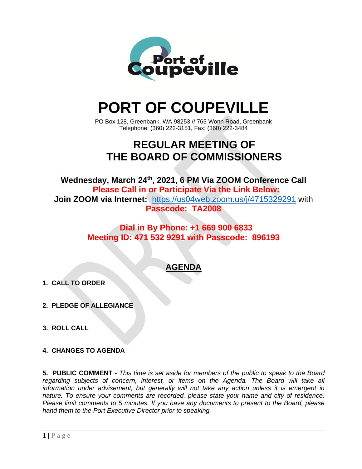

# **PORT OF COUPEVILLE**

PO Box 128, Greenbank, WA 98253 // 765 Wonn Road, Greenbank Telephone: (360) 222-3151, Fax: (360) 222-3484

# **REGULAR MEETING OF THE BOARD OF COMMISSIONERS**

**Wednesday, March 24 th , 2021, 6 PM Via ZOOM Conference Call Please Call in or Participate Via the Link Below: Join ZOOM via Internet:** <https://us04web.zoom.us/j/4715329291> with **Passcode: TA2008**

### **Dial in By Phone: +1 669 900 6833 Meeting ID: 471 532 9291 with Passcode: 896193**

## **AGENDA**

- **1. CALL TO ORDER**
- **2. PLEDGE OF ALLEGIANCE**
- **3. ROLL CALL**
- **4. CHANGES TO AGENDA**

**5. PUBLIC COMMENT -** *This time is set aside for members of the public to speak to the Board regarding subjects of concern, interest, or items on the Agenda. The Board will take all information under advisement, but generally will not take any action unless it is emergent in nature. To ensure your comments are recorded, please state your name and city of residence. Please limit comments to 5 minutes. If you have any documents to present to the Board, please hand them to the Port Executive Director prior to speaking.*